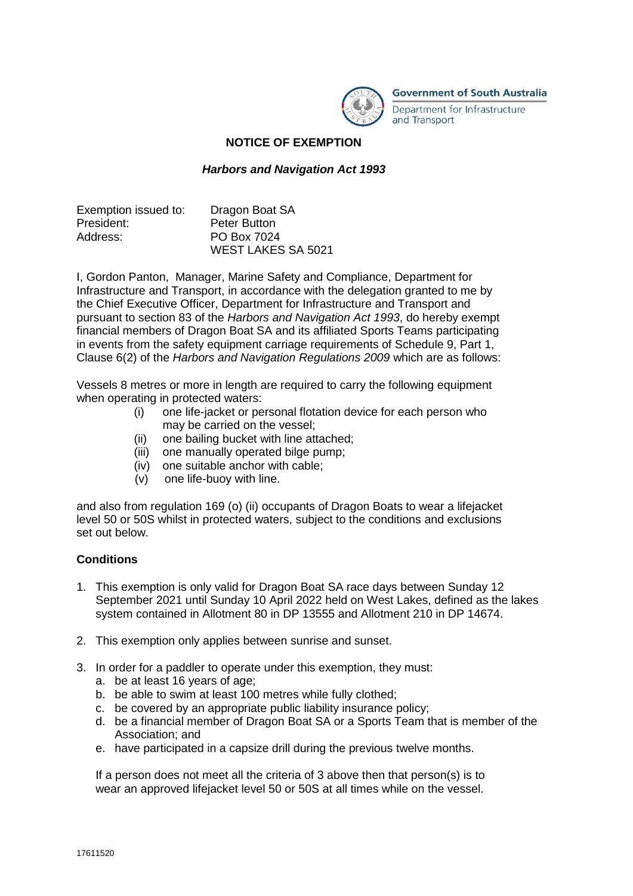

**Government of South Australia** 

Department for Infrastructure and Transport

## **NOTICE OF EXEMPTION**

## *Harbors and Navigation Act 1993*

| Exemption issued to: | Dragon Boat SA            |
|----------------------|---------------------------|
| President:           | <b>Peter Button</b>       |
| Address:             | PO Box 7024               |
|                      | <b>WEST LAKES SA 5021</b> |

I, Gordon Panton, Manager, Marine Safety and Compliance, Department for Infrastructure and Transport, in accordance with the delegation granted to me by the Chief Executive Officer, Department for Infrastructure and Transport and pursuant to section 83 of the *Harbors and Navigation Act 1993*, do hereby exempt financial members of Dragon Boat SA and its affiliated Sports Teams participating in events from the safety equipment carriage requirements of Schedule 9, Part 1, Clause 6(2) of the *Harbors and Navigation Regulations 2009* which are as follows:

Vessels 8 metres or more in length are required to carry the following equipment when operating in protected waters:

- (i) one life-jacket or personal flotation device for each person who may be carried on the vessel;
- (ii) one bailing bucket with line attached;
- (iii) one manually operated bilge pump;
- (iv) one suitable anchor with cable;
- (v) one life-buoy with line.

and also from regulation 169 (o) (ii) occupants of Dragon Boats to wear a lifejacket level 50 or 50S whilst in protected waters, subject to the conditions and exclusions set out below.

## **Conditions**

- 1. This exemption is only valid for Dragon Boat SA race days between Sunday 12 September 2021 until Sunday 10 April 2022 held on West Lakes, defined as the lakes system contained in Allotment 80 in DP 13555 and Allotment 210 in DP 14674.
- 2. This exemption only applies between sunrise and sunset.
- 3. In order for a paddler to operate under this exemption, they must:
	- a. be at least 16 years of age;
	- b. be able to swim at least 100 metres while fully clothed;
	- c. be covered by an appropriate public liability insurance policy;
	- d. be a financial member of Dragon Boat SA or a Sports Team that is member of the Association; and
	- e. have participated in a capsize drill during the previous twelve months.

If a person does not meet all the criteria of 3 above then that person(s) is to wear an approved lifejacket level 50 or 50S at all times while on the vessel.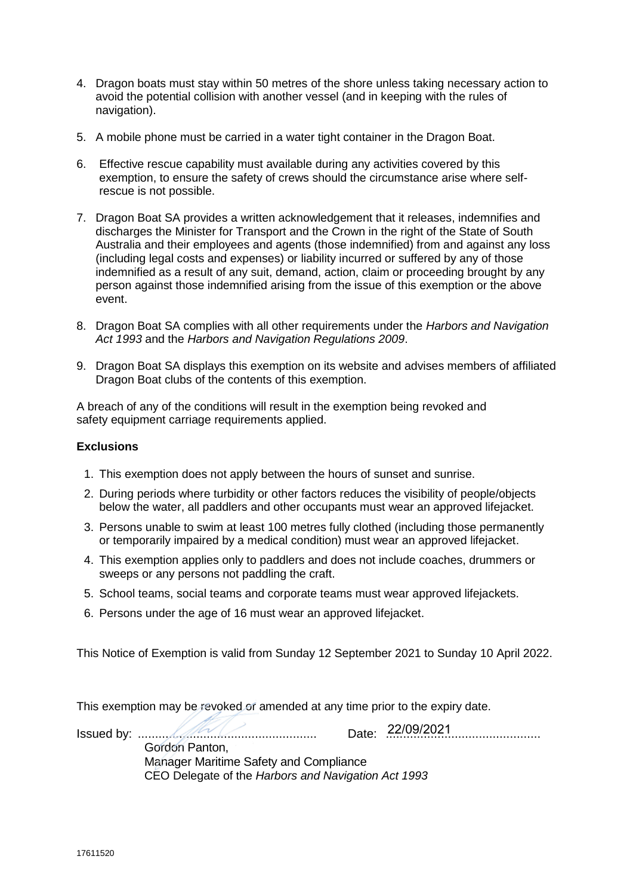- 4. Dragon boats must stay within 50 metres of the shore unless taking necessary action to avoid the potential collision with another vessel (and in keeping with the rules of navigation).
- 5. A mobile phone must be carried in a water tight container in the Dragon Boat.
- 6. Effective rescue capability must available during any activities covered by this exemption, to ensure the safety of crews should the circumstance arise where selfrescue is not possible.
- 7. Dragon Boat SA provides a written acknowledgement that it releases, indemnifies and discharges the Minister for Transport and the Crown in the right of the State of South Australia and their employees and agents (those indemnified) from and against any loss (including legal costs and expenses) or liability incurred or suffered by any of those indemnified as a result of any suit, demand, action, claim or proceeding brought by any person against those indemnified arising from the issue of this exemption or the above event.
- 8. Dragon Boat SA complies with all other requirements under the *Harbors and Navigation Act 1993* and the *Harbors and Navigation Regulations 2009*.
- 9. Dragon Boat SA displays this exemption on its website and advises members of affiliated Dragon Boat clubs of the contents of this exemption.

A breach of any of the conditions will result in the exemption being revoked and safety equipment carriage requirements applied.

## **Exclusions**

- 1. This exemption does not apply between the hours of sunset and sunrise.
- 2. During periods where turbidity or other factors reduces the visibility of people/objects below the water, all paddlers and other occupants must wear an approved lifejacket.
- 3. Persons unable to swim at least 100 metres fully clothed (including those permanently or temporarily impaired by a medical condition) must wear an approved lifejacket.
- 4. This exemption applies only to paddlers and does not include coaches, drummers or sweeps or any persons not paddling the craft.
- 5. School teams, social teams and corporate teams must wear approved lifejackets.
- 6. Persons under the age of 16 must wear an approved lifejacket.

This Notice of Exemption is valid from Sunday 12 September 2021 to Sunday 10 April 2022.

This exemption may be revoked or amended at any time prior to the expiry date.

Issued by: .................................................... Date: ............................................. Gordon Panton, Manager Maritime Safety and Compliance CEO Delegate of the *Harbors and Navigation Act 1993* Date: 22/09/2021